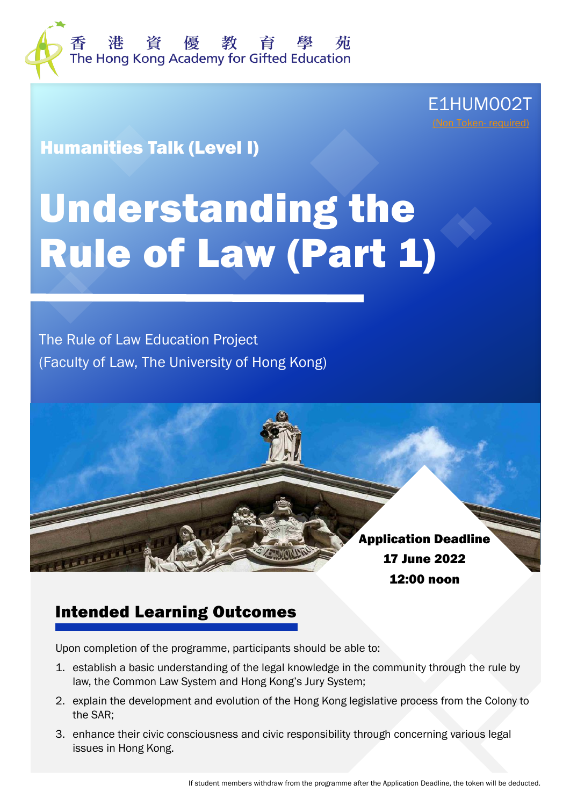

E1HUM002T [\(Non Token-](http://ge.hkage.org.hk/en/students/important-information/token_system) required)

Humanities Talk (Level I)

# Understanding the Rule of Law (Part 1)

The Rule of Law Education Project (Faculty of Law, The University of Hong Kong)

> Application Deadline 17 June 2022 12:00 noon

#### Intended Learning Outcomes

Upon completion of the programme, participants should be able to:

- 1. establish a basic understanding of the legal knowledge in the community through the rule by law, the Common Law System and Hong Kong's Jury System;
- 2. explain the development and evolution of the Hong Kong legislative process from the Colony to the SAR;
- 3. enhance their civic consciousness and civic responsibility through concerning various legal issues in Hong Kong.